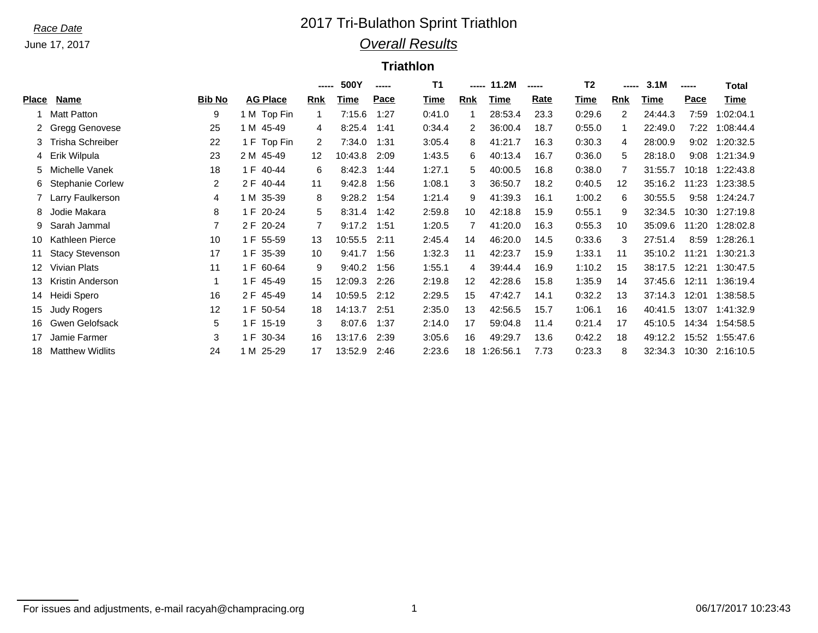June 17, 2017

## *Race Date* 2017 Tri-Bulathon Sprint Triathlon *Overall Results*

## **Triathlon**

|       |                        |               |                 | ----- | 500Y    | ----- | T1     | -----                | 11.2M     | ----- | T <sub>2</sub> | ----- | 3.1M    | ----- | <b>Total</b> |
|-------|------------------------|---------------|-----------------|-------|---------|-------|--------|----------------------|-----------|-------|----------------|-------|---------|-------|--------------|
| Place | Name                   | <b>Bib No</b> | <b>AG Place</b> | Rnk   | Time    | Pace  | Time   | Rnk                  | Time      | Rate  | Time           | Rnk   | Time    | Pace  | Time         |
|       | Matt Patton            | 9             | 1 M Top Fin     | 1     | 7:15.6  | 1:27  | 0:41.0 |                      | 28:53.4   | 23.3  | 0:29.6         | 2     | 24:44.3 | 7:59  | 1:02:04.1    |
|       | 2 Gregg Genovese       | 25            | 1 M 45-49       | 4     | 8:25.4  | 1:41  | 0:34.4 | $\mathbf{2}^{\circ}$ | 36:00.4   | 18.7  | 0:55.0         | 1     | 22:49.0 | 7:22  | 1:08:44.4    |
|       | 3 Trisha Schreiber     | 22            | 1 F Top Fin     | 2     | 7:34.0  | 1:31  | 3:05.4 | 8                    | 41:21.7   | 16.3  | 0:30.3         | 4     | 28:00.9 | 9:02  | 1:20:32.5    |
|       | 4 Erik Wilpula         | 23            | 2 M 45-49       | 12    | 10:43.8 | 2:09  | 1:43.5 | 6                    | 40:13.4   | 16.7  | 0:36.0         | 5     | 28:18.0 | 9:08  | 1:21:34.9    |
|       | 5 Michelle Vanek       | 18            | 1 F 40-44       | 6     | 8:42.3  | 1:44  | 1:27.1 | 5                    | 40:00.5   | 16.8  | 0:38.0         |       | 31:55.7 | 10:18 | 1:22:43.8    |
|       | 6 Stephanie Corlew     | 2             | 2 F 40-44       | 11    | 9:42.8  | 1:56  | 1:08.1 | 3                    | 36:50.7   | 18.2  | 0:40.5         | 12    | 35:16.2 | 11:23 | 1:23:38.5    |
|       | 7 Larry Faulkerson     | 4             | 1 M 35-39       | 8     | 9:28.2  | 1:54  | 1:21.4 | 9                    | 41:39.3   | 16.1  | 1:00.2         | 6     | 30:55.5 | 9:58  | 1:24:24.7    |
| 8.    | Jodie Makara           | 8             | 1 F 20-24       | 5     | 8:31.4  | 1:42  | 2:59.8 | 10                   | 42:18.8   | 15.9  | 0:55.1         | 9     | 32:34.5 | 10:30 | 1:27:19.8    |
|       | 9 Sarah Jammal         |               | 2 F 20-24       | 7     | 9:17.2  | 1:51  | 1:20.5 |                      | 41:20.0   | 16.3  | 0:55.3         | 10    | 35:09.6 | 11:20 | 1:28:02.8    |
| 10    | Kathleen Pierce        | 10            | 1 F 55-59       | 13    | 10:55.5 | 2:11  | 2:45.4 | 14                   | 46:20.0   | 14.5  | 0:33.6         | 3     | 27:51.4 | 8:59  | 1:28:26.1    |
| 11    | <b>Stacy Stevenson</b> | 17            | 1 F 35-39       | 10    | 9:41.7  | 1:56  | 1:32.3 | 11                   | 42:23.7   | 15.9  | 1:33.1         | 11    | 35:10.2 | 11:21 | 1:30:21.3    |
| 12    | Vivian Plats           | 11            | 1 F 60-64       | 9     | 9:40.2  | 1:56  | 1:55.1 | 4                    | 39:44.4   | 16.9  | 1:10.2         | 15    | 38:17.5 | 12:21 | 1:30:47.5    |
| 13    | Kristin Anderson       | 1             | 1 F 45-49       | 15    | 12:09.3 | 2:26  | 2:19.8 | 12                   | 42:28.6   | 15.8  | 1:35.9         | 14    | 37:45.6 | 12:11 | 1:36:19.4    |
| 14.   | Heidi Spero            | 16            | 2 F 45-49       | 14    | 10:59.5 | 2:12  | 2:29.5 | 15                   | 47:42.7   | 14.1  | 0:32.2         | 13    | 37:14.3 | 12:01 | 1:38:58.5    |
| 15    | <b>Judy Rogers</b>     | 12            | 1 F 50-54       | 18    | 14:13.7 | 2:51  | 2:35.0 | 13                   | 42:56.5   | 15.7  | 1:06.1         | 16    | 40:41.5 | 13:07 | 1:41:32.9    |
| 16    | Gwen Gelofsack         | 5             | 1 F 15-19       | 3     | 8:07.6  | 1:37  | 2:14.0 | 17                   | 59:04.8   | 11.4  | 0:21.4         | 17    | 45:10.5 | 14:34 | 1:54:58.5    |
| 17    | Jamie Farmer           | 3             | 1 F 30-34       | 16    | 13:17.6 | 2:39  | 3:05.6 | 16                   | 49:29.7   | 13.6  | 0:42.2         | 18    | 49:12.2 | 15:52 | 1:55:47.6    |
| 18.   | <b>Matthew Widlits</b> | 24            | 25-29<br>1 M    | 17    | 13:52.9 | 2:46  | 2:23.6 | 18                   | 1:26:56.1 | 7.73  | 0:23.3         | 8     | 32:34.3 | 10:30 | 2:16:10.5    |

For issues and adjustments, e-mail racyah@champracing.org 1 06/17/2017 10:23:43